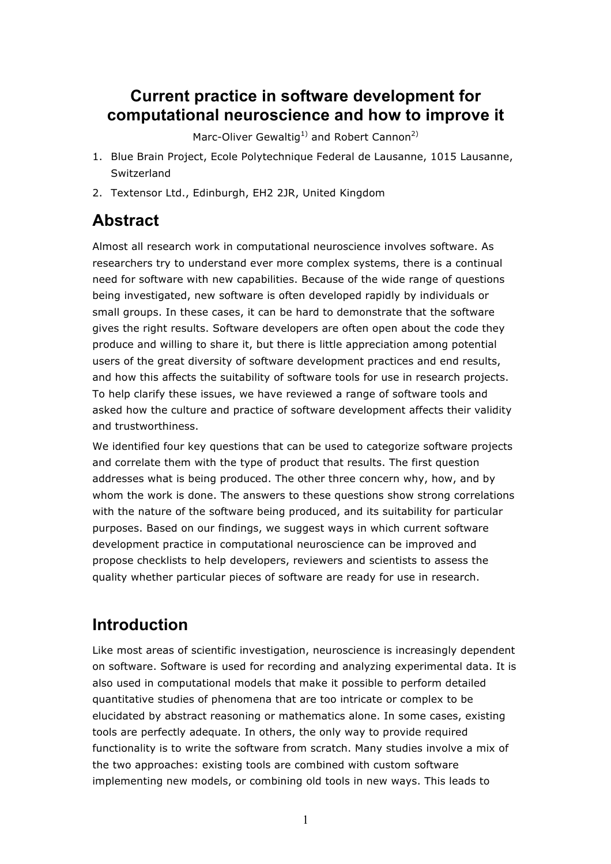# **Current practice in software development for computational neuroscience and how to improve it**

Marc-Oliver Gewaltig<sup>1)</sup> and Robert Cannon<sup>2)</sup>

- 1. Blue Brain Project, Ecole Polytechnique Federal de Lausanne, 1015 Lausanne, Switzerland
- 2. Textensor Ltd., Edinburgh, EH2 2JR, United Kingdom

# **Abstract**

Almost all research work in computational neuroscience involves software. As researchers try to understand ever more complex systems, there is a continual need for software with new capabilities. Because of the wide range of questions being investigated, new software is often developed rapidly by individuals or small groups. In these cases, it can be hard to demonstrate that the software gives the right results. Software developers are often open about the code they produce and willing to share it, but there is little appreciation among potential users of the great diversity of software development practices and end results, and how this affects the suitability of software tools for use in research projects. To help clarify these issues, we have reviewed a range of software tools and asked how the culture and practice of software development affects their validity and trustworthiness.

We identified four key questions that can be used to categorize software projects and correlate them with the type of product that results. The first question addresses what is being produced. The other three concern why, how, and by whom the work is done. The answers to these questions show strong correlations with the nature of the software being produced, and its suitability for particular purposes. Based on our findings, we suggest ways in which current software development practice in computational neuroscience can be improved and propose checklists to help developers, reviewers and scientists to assess the quality whether particular pieces of software are ready for use in research.

# **Introduction**

Like most areas of scientific investigation, neuroscience is increasingly dependent on software. Software is used for recording and analyzing experimental data. It is also used in computational models that make it possible to perform detailed quantitative studies of phenomena that are too intricate or complex to be elucidated by abstract reasoning or mathematics alone. In some cases, existing tools are perfectly adequate. In others, the only way to provide required functionality is to write the software from scratch. Many studies involve a mix of the two approaches: existing tools are combined with custom software implementing new models, or combining old tools in new ways. This leads to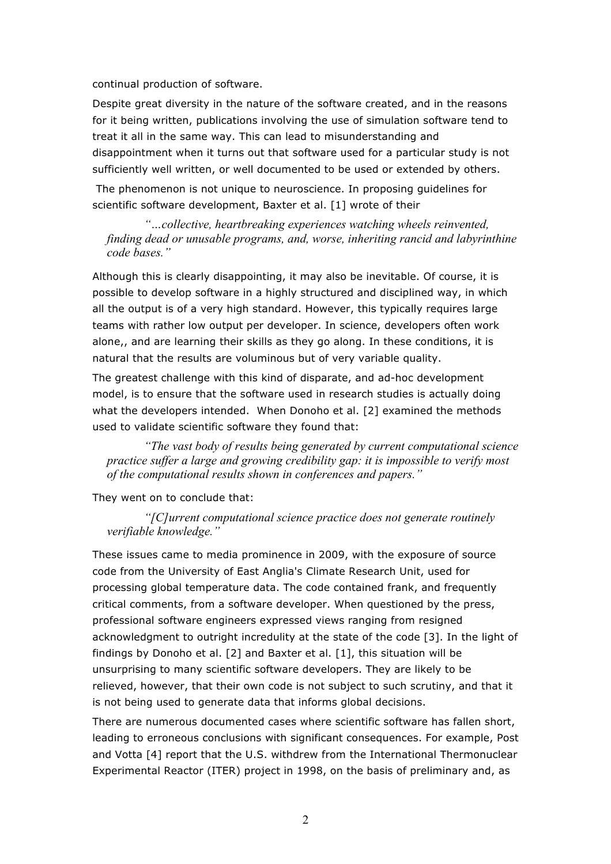continual production of software.

Despite great diversity in the nature of the software created, and in the reasons for it being written, publications involving the use of simulation software tend to treat it all in the same way. This can lead to misunderstanding and disappointment when it turns out that software used for a particular study is not sufficiently well written, or well documented to be used or extended by others.

The phenomenon is not unique to neuroscience. In proposing guidelines for scientific software development, Baxter et al. [1] wrote of their

*"…collective, heartbreaking experiences watching wheels reinvented, finding dead or unusable programs, and, worse, inheriting rancid and labyrinthine code bases."*

Although this is clearly disappointing, it may also be inevitable. Of course, it is possible to develop software in a highly structured and disciplined way, in which all the output is of a very high standard. However, this typically requires large teams with rather low output per developer. In science, developers often work alone,, and are learning their skills as they go along. In these conditions, it is natural that the results are voluminous but of very variable quality.

The greatest challenge with this kind of disparate, and ad-hoc development model, is to ensure that the software used in research studies is actually doing what the developers intended. When Donoho et al. [2] examined the methods used to validate scientific software they found that:

*"The vast body of results being generated by current computational science practice suffer a large and growing credibility gap: it is impossible to verify most of the computational results shown in conferences and papers."*

They went on to conclude that:

*"[C]urrent computational science practice does not generate routinely verifiable knowledge."*

These issues came to media prominence in 2009, with the exposure of source code from the University of East Anglia's Climate Research Unit, used for processing global temperature data. The code contained frank, and frequently critical comments, from a software developer. When questioned by the press, professional software engineers expressed views ranging from resigned acknowledgment to outright incredulity at the state of the code [3]. In the light of findings by Donoho et al. [2] and Baxter et al. [1], this situation will be unsurprising to many scientific software developers. They are likely to be relieved, however, that their own code is not subject to such scrutiny, and that it is not being used to generate data that informs global decisions.

There are numerous documented cases where scientific software has fallen short, leading to erroneous conclusions with significant consequences. For example, Post and Votta [4] report that the U.S. withdrew from the International Thermonuclear Experimental Reactor (ITER) project in 1998, on the basis of preliminary and, as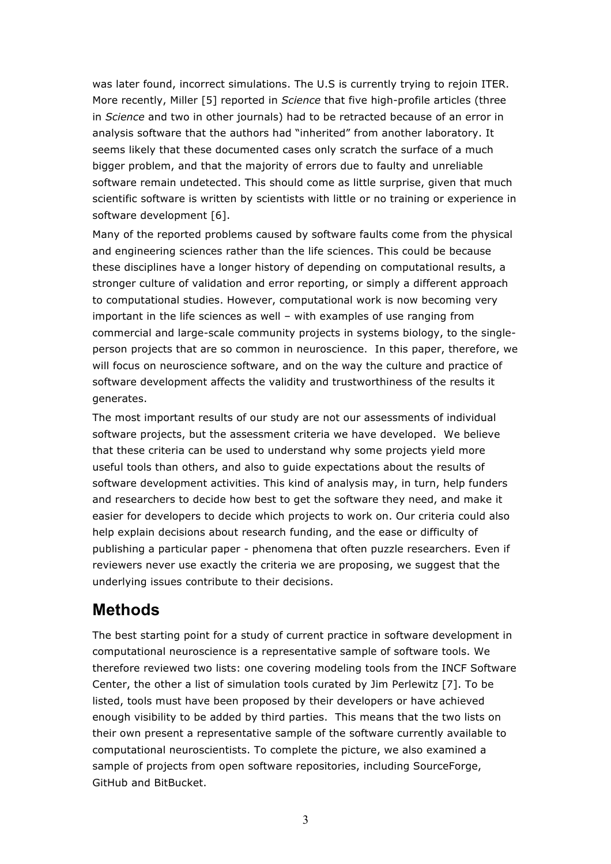was later found, incorrect simulations. The U.S is currently trying to rejoin ITER. More recently, Miller [5] reported in *Science* that five high-profile articles (three in *Science* and two in other journals) had to be retracted because of an error in analysis software that the authors had "inherited" from another laboratory. It seems likely that these documented cases only scratch the surface of a much bigger problem, and that the majority of errors due to faulty and unreliable software remain undetected. This should come as little surprise, given that much scientific software is written by scientists with little or no training or experience in software development [6].

Many of the reported problems caused by software faults come from the physical and engineering sciences rather than the life sciences. This could be because these disciplines have a longer history of depending on computational results, a stronger culture of validation and error reporting, or simply a different approach to computational studies. However, computational work is now becoming very important in the life sciences as well – with examples of use ranging from commercial and large-scale community projects in systems biology, to the singleperson projects that are so common in neuroscience. In this paper, therefore, we will focus on neuroscience software, and on the way the culture and practice of software development affects the validity and trustworthiness of the results it generates.

The most important results of our study are not our assessments of individual software projects, but the assessment criteria we have developed. We believe that these criteria can be used to understand why some projects yield more useful tools than others, and also to guide expectations about the results of software development activities. This kind of analysis may, in turn, help funders and researchers to decide how best to get the software they need, and make it easier for developers to decide which projects to work on. Our criteria could also help explain decisions about research funding, and the ease or difficulty of publishing a particular paper - phenomena that often puzzle researchers. Even if reviewers never use exactly the criteria we are proposing, we suggest that the underlying issues contribute to their decisions.

# **Methods**

The best starting point for a study of current practice in software development in computational neuroscience is a representative sample of software tools. We therefore reviewed two lists: one covering modeling tools from the INCF Software Center, the other a list of simulation tools curated by Jim Perlewitz [7]. To be listed, tools must have been proposed by their developers or have achieved enough visibility to be added by third parties. This means that the two lists on their own present a representative sample of the software currently available to computational neuroscientists. To complete the picture, we also examined a sample of projects from open software repositories, including SourceForge, GitHub and BitBucket.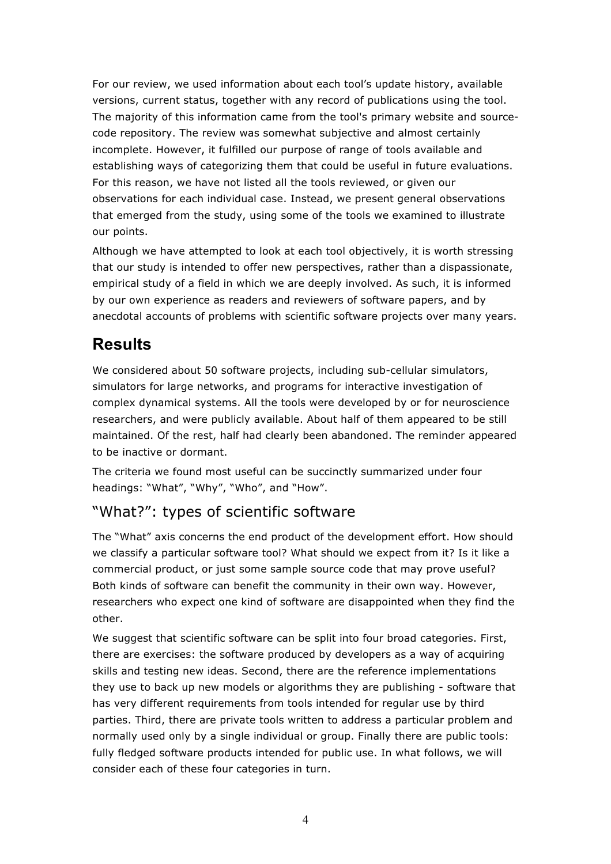For our review, we used information about each tool's update history, available versions, current status, together with any record of publications using the tool. The majority of this information came from the tool's primary website and sourcecode repository. The review was somewhat subjective and almost certainly incomplete. However, it fulfilled our purpose of range of tools available and establishing ways of categorizing them that could be useful in future evaluations. For this reason, we have not listed all the tools reviewed, or given our observations for each individual case. Instead, we present general observations that emerged from the study, using some of the tools we examined to illustrate our points.

Although we have attempted to look at each tool objectively, it is worth stressing that our study is intended to offer new perspectives, rather than a dispassionate, empirical study of a field in which we are deeply involved. As such, it is informed by our own experience as readers and reviewers of software papers, and by anecdotal accounts of problems with scientific software projects over many years.

# **Results**

We considered about 50 software projects, including sub-cellular simulators, simulators for large networks, and programs for interactive investigation of complex dynamical systems. All the tools were developed by or for neuroscience researchers, and were publicly available. About half of them appeared to be still maintained. Of the rest, half had clearly been abandoned. The reminder appeared to be inactive or dormant.

The criteria we found most useful can be succinctly summarized under four headings: "What", "Why", "Who", and "How".

# "What?": types of scientific software

The "What" axis concerns the end product of the development effort. How should we classify a particular software tool? What should we expect from it? Is it like a commercial product, or just some sample source code that may prove useful? Both kinds of software can benefit the community in their own way. However, researchers who expect one kind of software are disappointed when they find the other.

We suggest that scientific software can be split into four broad categories. First, there are exercises: the software produced by developers as a way of acquiring skills and testing new ideas. Second, there are the reference implementations they use to back up new models or algorithms they are publishing - software that has very different requirements from tools intended for regular use by third parties. Third, there are private tools written to address a particular problem and normally used only by a single individual or group. Finally there are public tools: fully fledged software products intended for public use. In what follows, we will consider each of these four categories in turn.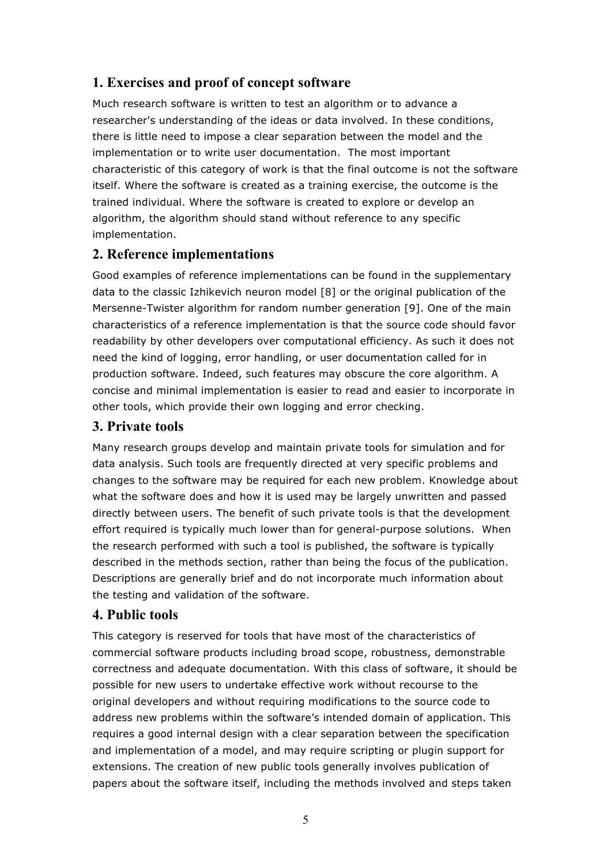## **1. Exercises and proof of concept software**

Much research software is written to test an algorithm or to advance a researcher's understanding of the ideas or data involved. In these conditions, there is little need to impose a clear separation between the model and the implementation or to write user documentation. The most important characteristic of this category of work is that the final outcome is not the software itself. Where the software is created as a training exercise, the outcome is the trained individual. Where the software is created to explore or develop an algorithm, the algorithm should stand without reference to any specific implementation.

### **2. Reference implementations**

Good examples of reference implementations can be found in the supplementary data to the classic Izhikevich neuron model [8] or the original publication of the Mersenne-Twister algorithm for random number generation [9]. One of the main characteristics of a reference implementation is that the source code should favor readability by other developers over computational efficiency. As such it does not need the kind of logging, error handling, or user documentation called for in production software. Indeed, such features may obscure the core algorithm. A concise and minimal implementation is easier to read and easier to incorporate in other tools, which provide their own logging and error checking.

### **3. Private tools**

Many research groups develop and maintain private tools for simulation and for data analysis. Such tools are frequently directed at very specific problems and changes to the software may be required for each new problem. Knowledge about what the software does and how it is used may be largely unwritten and passed directly between users. The benefit of such private tools is that the development effort required is typically much lower than for general-purpose solutions. When the research performed with such a tool is published, the software is typically described in the methods section, rather than being the focus of the publication. Descriptions are generally brief and do not incorporate much information about the testing and validation of the software.

## **4. Public tools**

This category is reserved for tools that have most of the characteristics of commercial software products including broad scope, robustness, demonstrable correctness and adequate documentation. With this class of software, it should be possible for new users to undertake effective work without recourse to the original developers and without requiring modifications to the source code to address new problems within the software's intended domain of application. This requires a good internal design with a clear separation between the specification and implementation of a model, and may require scripting or plugin support for extensions. The creation of new public tools generally involves publication of papers about the software itself, including the methods involved and steps taken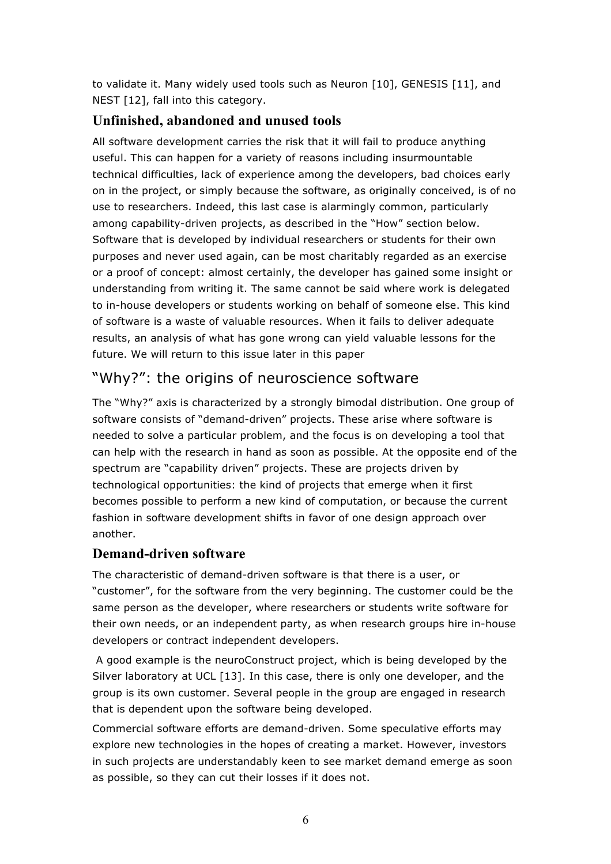to validate it. Many widely used tools such as Neuron [10], GENESIS [11], and NEST [12], fall into this category.

### **Unfinished, abandoned and unused tools**

All software development carries the risk that it will fail to produce anything useful. This can happen for a variety of reasons including insurmountable technical difficulties, lack of experience among the developers, bad choices early on in the project, or simply because the software, as originally conceived, is of no use to researchers. Indeed, this last case is alarmingly common, particularly among capability-driven projects, as described in the "How" section below. Software that is developed by individual researchers or students for their own purposes and never used again, can be most charitably regarded as an exercise or a proof of concept: almost certainly, the developer has gained some insight or understanding from writing it. The same cannot be said where work is delegated to in-house developers or students working on behalf of someone else. This kind of software is a waste of valuable resources. When it fails to deliver adequate results, an analysis of what has gone wrong can yield valuable lessons for the future. We will return to this issue later in this paper

# "Why?": the origins of neuroscience software

The "Why?" axis is characterized by a strongly bimodal distribution. One group of software consists of "demand-driven" projects. These arise where software is needed to solve a particular problem, and the focus is on developing a tool that can help with the research in hand as soon as possible. At the opposite end of the spectrum are "capability driven" projects. These are projects driven by technological opportunities: the kind of projects that emerge when it first becomes possible to perform a new kind of computation, or because the current fashion in software development shifts in favor of one design approach over another.

## **Demand-driven software**

The characteristic of demand-driven software is that there is a user, or "customer", for the software from the very beginning. The customer could be the same person as the developer, where researchers or students write software for their own needs, or an independent party, as when research groups hire in-house developers or contract independent developers.

A good example is the neuroConstruct project, which is being developed by the Silver laboratory at UCL [13]. In this case, there is only one developer, and the group is its own customer. Several people in the group are engaged in research that is dependent upon the software being developed.

Commercial software efforts are demand-driven. Some speculative efforts may explore new technologies in the hopes of creating a market. However, investors in such projects are understandably keen to see market demand emerge as soon as possible, so they can cut their losses if it does not.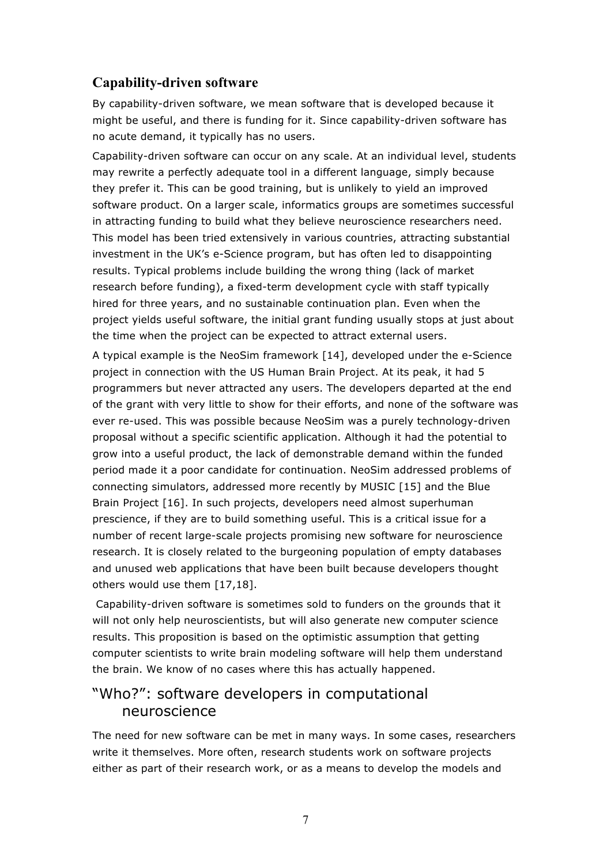### **Capability-driven software**

By capability-driven software, we mean software that is developed because it might be useful, and there is funding for it. Since capability-driven software has no acute demand, it typically has no users.

Capability-driven software can occur on any scale. At an individual level, students may rewrite a perfectly adequate tool in a different language, simply because they prefer it. This can be good training, but is unlikely to yield an improved software product. On a larger scale, informatics groups are sometimes successful in attracting funding to build what they believe neuroscience researchers need. This model has been tried extensively in various countries, attracting substantial investment in the UK's e-Science program, but has often led to disappointing results. Typical problems include building the wrong thing (lack of market research before funding), a fixed-term development cycle with staff typically hired for three years, and no sustainable continuation plan. Even when the project yields useful software, the initial grant funding usually stops at just about the time when the project can be expected to attract external users.

A typical example is the NeoSim framework [14], developed under the e-Science project in connection with the US Human Brain Project. At its peak, it had 5 programmers but never attracted any users. The developers departed at the end of the grant with very little to show for their efforts, and none of the software was ever re-used. This was possible because NeoSim was a purely technology-driven proposal without a specific scientific application. Although it had the potential to grow into a useful product, the lack of demonstrable demand within the funded period made it a poor candidate for continuation. NeoSim addressed problems of connecting simulators, addressed more recently by MUSIC [15] and the Blue Brain Project [16]. In such projects, developers need almost superhuman prescience, if they are to build something useful. This is a critical issue for a number of recent large-scale projects promising new software for neuroscience research. It is closely related to the burgeoning population of empty databases and unused web applications that have been built because developers thought others would use them [17,18].

Capability-driven software is sometimes sold to funders on the grounds that it will not only help neuroscientists, but will also generate new computer science results. This proposition is based on the optimistic assumption that getting computer scientists to write brain modeling software will help them understand the brain. We know of no cases where this has actually happened.

## "Who?": software developers in computational neuroscience

The need for new software can be met in many ways. In some cases, researchers write it themselves. More often, research students work on software projects either as part of their research work, or as a means to develop the models and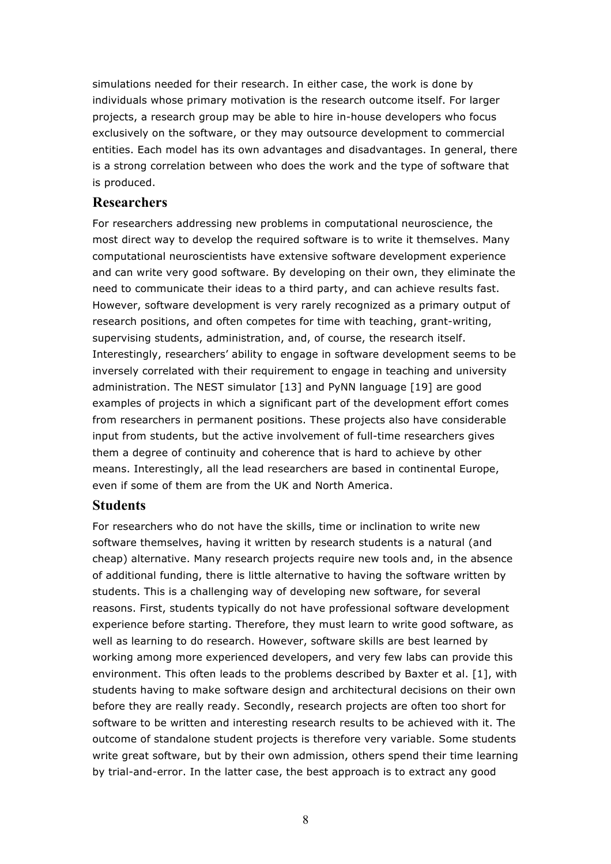simulations needed for their research. In either case, the work is done by individuals whose primary motivation is the research outcome itself. For larger projects, a research group may be able to hire in-house developers who focus exclusively on the software, or they may outsource development to commercial entities. Each model has its own advantages and disadvantages. In general, there is a strong correlation between who does the work and the type of software that is produced.

#### **Researchers**

For researchers addressing new problems in computational neuroscience, the most direct way to develop the required software is to write it themselves. Many computational neuroscientists have extensive software development experience and can write very good software. By developing on their own, they eliminate the need to communicate their ideas to a third party, and can achieve results fast. However, software development is very rarely recognized as a primary output of research positions, and often competes for time with teaching, grant-writing, supervising students, administration, and, of course, the research itself. Interestingly, researchers' ability to engage in software development seems to be inversely correlated with their requirement to engage in teaching and university administration. The NEST simulator [13] and PyNN language [19] are good examples of projects in which a significant part of the development effort comes from researchers in permanent positions. These projects also have considerable input from students, but the active involvement of full-time researchers gives them a degree of continuity and coherence that is hard to achieve by other means. Interestingly, all the lead researchers are based in continental Europe, even if some of them are from the UK and North America.

#### **Students**

For researchers who do not have the skills, time or inclination to write new software themselves, having it written by research students is a natural (and cheap) alternative. Many research projects require new tools and, in the absence of additional funding, there is little alternative to having the software written by students. This is a challenging way of developing new software, for several reasons. First, students typically do not have professional software development experience before starting. Therefore, they must learn to write good software, as well as learning to do research. However, software skills are best learned by working among more experienced developers, and very few labs can provide this environment. This often leads to the problems described by Baxter et al. [1], with students having to make software design and architectural decisions on their own before they are really ready. Secondly, research projects are often too short for software to be written and interesting research results to be achieved with it. The outcome of standalone student projects is therefore very variable. Some students write great software, but by their own admission, others spend their time learning by trial-and-error. In the latter case, the best approach is to extract any good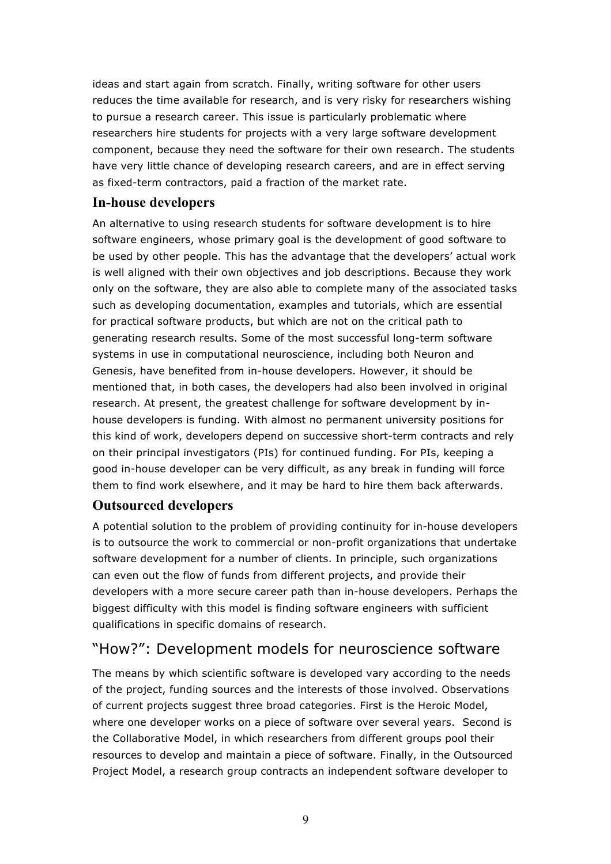ideas and start again from scratch. Finally, writing software for other users reduces the time available for research, and is very risky for researchers wishing to pursue a research career. This issue is particularly problematic where researchers hire students for projects with a very large software development component, because they need the software for their own research. The students have very little chance of developing research careers, and are in effect serving as fixed-term contractors, paid a fraction of the market rate.

#### **In-house developers**

An alternative to using research students for software development is to hire software engineers, whose primary goal is the development of good software to be used by other people. This has the advantage that the developers' actual work is well aligned with their own objectives and job descriptions. Because they work only on the software, they are also able to complete many of the associated tasks such as developing documentation, examples and tutorials, which are essential for practical software products, but which are not on the critical path to generating research results. Some of the most successful long-term software systems in use in computational neuroscience, including both Neuron and Genesis, have benefited from in-house developers. However, it should be mentioned that, in both cases, the developers had also been involved in original research. At present, the greatest challenge for software development by inhouse developers is funding. With almost no permanent university positions for this kind of work, developers depend on successive short-term contracts and rely on their principal investigators (PIs) for continued funding. For PIs, keeping a good in-house developer can be very difficult, as any break in funding will force them to find work elsewhere, and it may be hard to hire them back afterwards.

#### **Outsourced developers**

A potential solution to the problem of providing continuity for in-house developers is to outsource the work to commercial or non-profit organizations that undertake software development for a number of clients. In principle, such organizations can even out the flow of funds from different projects, and provide their developers with a more secure career path than in-house developers. Perhaps the biggest difficulty with this model is finding software engineers with sufficient qualifications in specific domains of research.

## "How?": Development models for neuroscience software

The means by which scientific software is developed vary according to the needs of the project, funding sources and the interests of those involved. Observations of current projects suggest three broad categories. First is the Heroic Model, where one developer works on a piece of software over several years. Second is the Collaborative Model, in which researchers from different groups pool their resources to develop and maintain a piece of software. Finally, in the Outsourced Project Model, a research group contracts an independent software developer to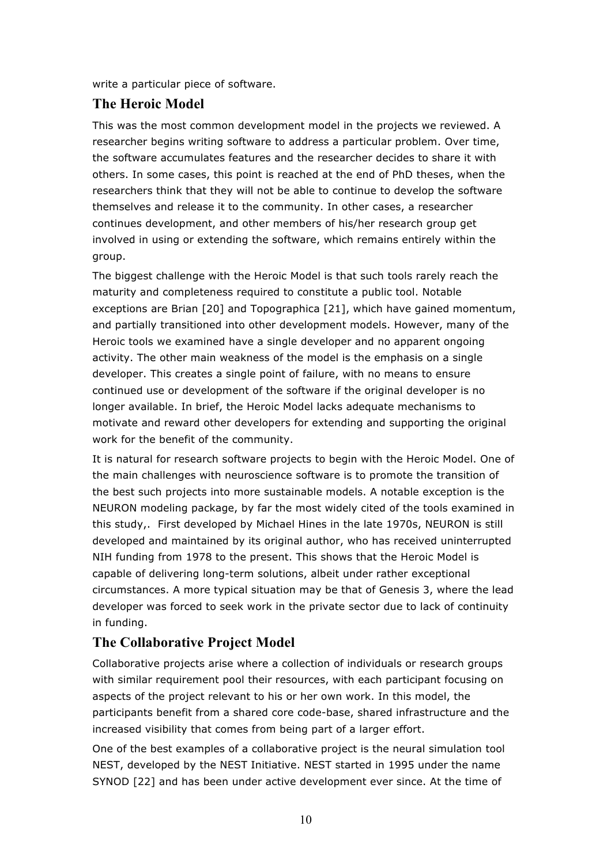write a particular piece of software.

### **The Heroic Model**

This was the most common development model in the projects we reviewed. A researcher begins writing software to address a particular problem. Over time, the software accumulates features and the researcher decides to share it with others. In some cases, this point is reached at the end of PhD theses, when the researchers think that they will not be able to continue to develop the software themselves and release it to the community. In other cases, a researcher continues development, and other members of his/her research group get involved in using or extending the software, which remains entirely within the group.

The biggest challenge with the Heroic Model is that such tools rarely reach the maturity and completeness required to constitute a public tool. Notable exceptions are Brian [20] and Topographica [21], which have gained momentum, and partially transitioned into other development models. However, many of the Heroic tools we examined have a single developer and no apparent ongoing activity. The other main weakness of the model is the emphasis on a single developer. This creates a single point of failure, with no means to ensure continued use or development of the software if the original developer is no longer available. In brief, the Heroic Model lacks adequate mechanisms to motivate and reward other developers for extending and supporting the original work for the benefit of the community.

It is natural for research software projects to begin with the Heroic Model. One of the main challenges with neuroscience software is to promote the transition of the best such projects into more sustainable models. A notable exception is the NEURON modeling package, by far the most widely cited of the tools examined in this study,. First developed by Michael Hines in the late 1970s, NEURON is still developed and maintained by its original author, who has received uninterrupted NIH funding from 1978 to the present. This shows that the Heroic Model is capable of delivering long-term solutions, albeit under rather exceptional circumstances. A more typical situation may be that of Genesis 3, where the lead developer was forced to seek work in the private sector due to lack of continuity in funding.

## **The Collaborative Project Model**

Collaborative projects arise where a collection of individuals or research groups with similar requirement pool their resources, with each participant focusing on aspects of the project relevant to his or her own work. In this model, the participants benefit from a shared core code-base, shared infrastructure and the increased visibility that comes from being part of a larger effort.

One of the best examples of a collaborative project is the neural simulation tool NEST, developed by the NEST Initiative. NEST started in 1995 under the name SYNOD [22] and has been under active development ever since. At the time of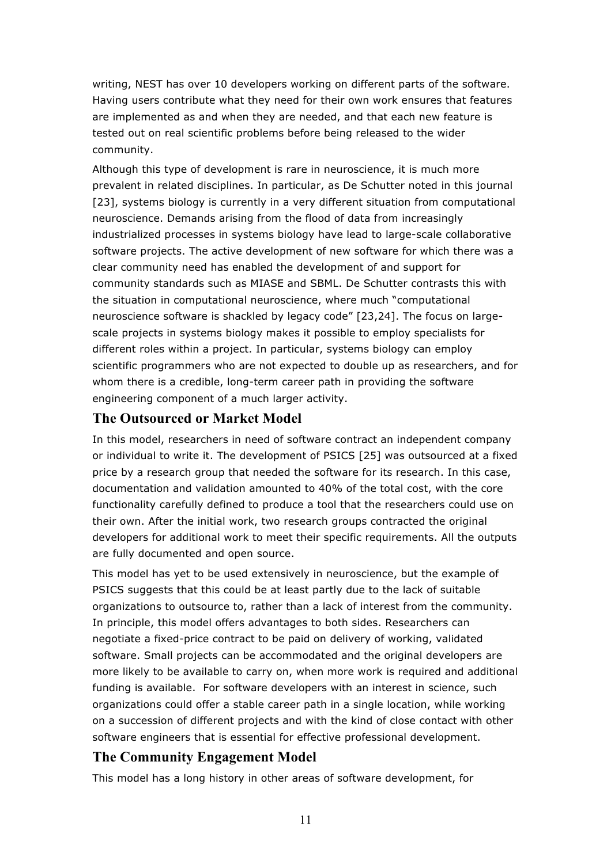writing, NEST has over 10 developers working on different parts of the software. Having users contribute what they need for their own work ensures that features are implemented as and when they are needed, and that each new feature is tested out on real scientific problems before being released to the wider community.

Although this type of development is rare in neuroscience, it is much more prevalent in related disciplines. In particular, as De Schutter noted in this journal [23], systems biology is currently in a very different situation from computational neuroscience. Demands arising from the flood of data from increasingly industrialized processes in systems biology have lead to large-scale collaborative software projects. The active development of new software for which there was a clear community need has enabled the development of and support for community standards such as MIASE and SBML. De Schutter contrasts this with the situation in computational neuroscience, where much "computational neuroscience software is shackled by legacy code" [23,24]. The focus on largescale projects in systems biology makes it possible to employ specialists for different roles within a project. In particular, systems biology can employ scientific programmers who are not expected to double up as researchers, and for whom there is a credible, long-term career path in providing the software engineering component of a much larger activity.

#### **The Outsourced or Market Model**

In this model, researchers in need of software contract an independent company or individual to write it. The development of PSICS [25] was outsourced at a fixed price by a research group that needed the software for its research. In this case, documentation and validation amounted to 40% of the total cost, with the core functionality carefully defined to produce a tool that the researchers could use on their own. After the initial work, two research groups contracted the original developers for additional work to meet their specific requirements. All the outputs are fully documented and open source.

This model has yet to be used extensively in neuroscience, but the example of PSICS suggests that this could be at least partly due to the lack of suitable organizations to outsource to, rather than a lack of interest from the community. In principle, this model offers advantages to both sides. Researchers can negotiate a fixed-price contract to be paid on delivery of working, validated software. Small projects can be accommodated and the original developers are more likely to be available to carry on, when more work is required and additional funding is available. For software developers with an interest in science, such organizations could offer a stable career path in a single location, while working on a succession of different projects and with the kind of close contact with other software engineers that is essential for effective professional development.

#### **The Community Engagement Model**

This model has a long history in other areas of software development, for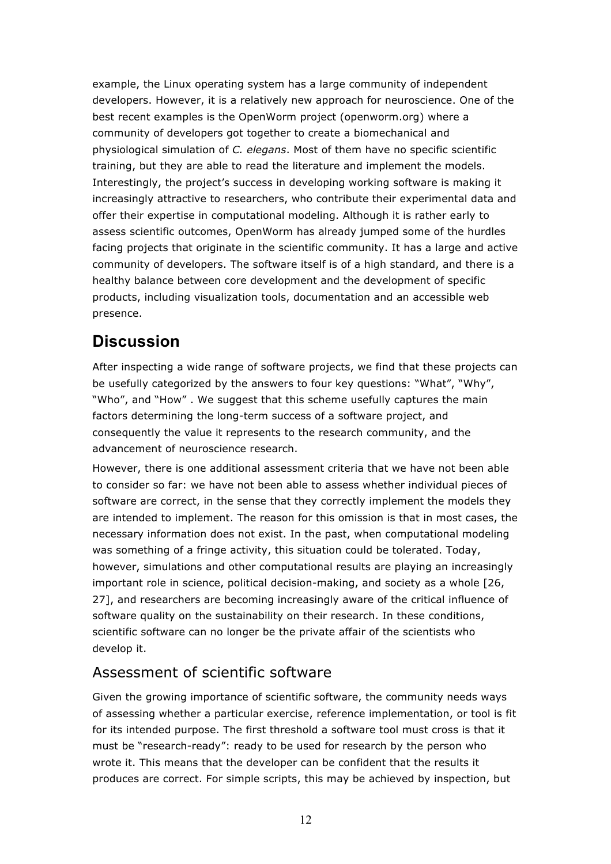example, the Linux operating system has a large community of independent developers. However, it is a relatively new approach for neuroscience. One of the best recent examples is the OpenWorm project (openworm.org) where a community of developers got together to create a biomechanical and physiological simulation of *C. elegans*. Most of them have no specific scientific training, but they are able to read the literature and implement the models. Interestingly, the project's success in developing working software is making it increasingly attractive to researchers, who contribute their experimental data and offer their expertise in computational modeling. Although it is rather early to assess scientific outcomes, OpenWorm has already jumped some of the hurdles facing projects that originate in the scientific community. It has a large and active community of developers. The software itself is of a high standard, and there is a healthy balance between core development and the development of specific products, including visualization tools, documentation and an accessible web presence.

# **Discussion**

After inspecting a wide range of software projects, we find that these projects can be usefully categorized by the answers to four key questions: "What", "Why", "Who", and "How" . We suggest that this scheme usefully captures the main factors determining the long-term success of a software project, and consequently the value it represents to the research community, and the advancement of neuroscience research.

However, there is one additional assessment criteria that we have not been able to consider so far: we have not been able to assess whether individual pieces of software are correct, in the sense that they correctly implement the models they are intended to implement. The reason for this omission is that in most cases, the necessary information does not exist. In the past, when computational modeling was something of a fringe activity, this situation could be tolerated. Today, however, simulations and other computational results are playing an increasingly important role in science, political decision-making, and society as a whole [26, 27], and researchers are becoming increasingly aware of the critical influence of software quality on the sustainability on their research. In these conditions, scientific software can no longer be the private affair of the scientists who develop it.

# Assessment of scientific software

Given the growing importance of scientific software, the community needs ways of assessing whether a particular exercise, reference implementation, or tool is fit for its intended purpose. The first threshold a software tool must cross is that it must be "research-ready": ready to be used for research by the person who wrote it. This means that the developer can be confident that the results it produces are correct. For simple scripts, this may be achieved by inspection, but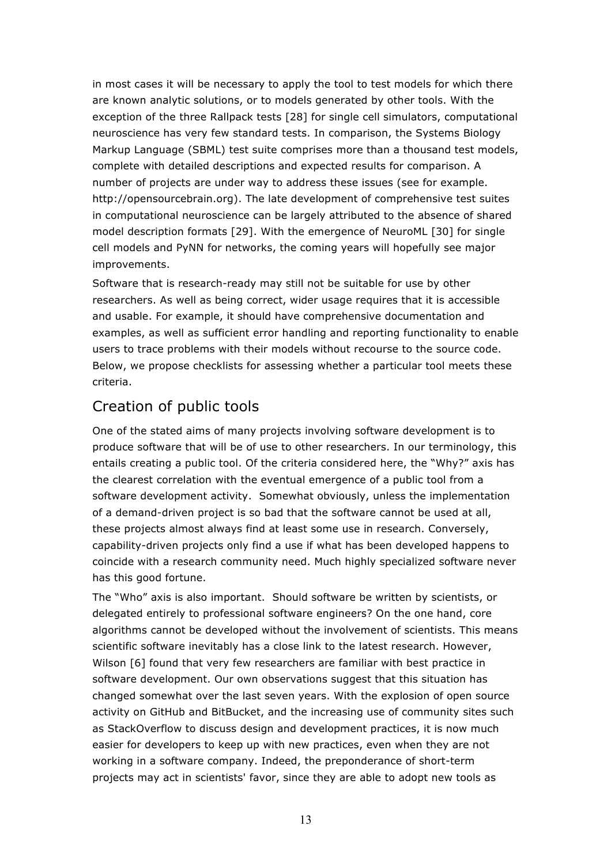in most cases it will be necessary to apply the tool to test models for which there are known analytic solutions, or to models generated by other tools. With the exception of the three Rallpack tests [28] for single cell simulators, computational neuroscience has very few standard tests. In comparison, the Systems Biology Markup Language (SBML) test suite comprises more than a thousand test models, complete with detailed descriptions and expected results for comparison. A number of projects are under way to address these issues (see for example. http://opensourcebrain.org). The late development of comprehensive test suites in computational neuroscience can be largely attributed to the absence of shared model description formats [29]. With the emergence of NeuroML [30] for single cell models and PyNN for networks, the coming years will hopefully see major improvements.

Software that is research-ready may still not be suitable for use by other researchers. As well as being correct, wider usage requires that it is accessible and usable. For example, it should have comprehensive documentation and examples, as well as sufficient error handling and reporting functionality to enable users to trace problems with their models without recourse to the source code. Below, we propose checklists for assessing whether a particular tool meets these criteria.

# Creation of public tools

One of the stated aims of many projects involving software development is to produce software that will be of use to other researchers. In our terminology, this entails creating a public tool. Of the criteria considered here, the "Why?" axis has the clearest correlation with the eventual emergence of a public tool from a software development activity. Somewhat obviously, unless the implementation of a demand-driven project is so bad that the software cannot be used at all, these projects almost always find at least some use in research. Conversely, capability-driven projects only find a use if what has been developed happens to coincide with a research community need. Much highly specialized software never has this good fortune.

The "Who" axis is also important. Should software be written by scientists, or delegated entirely to professional software engineers? On the one hand, core algorithms cannot be developed without the involvement of scientists. This means scientific software inevitably has a close link to the latest research. However, Wilson [6] found that very few researchers are familiar with best practice in software development. Our own observations suggest that this situation has changed somewhat over the last seven years. With the explosion of open source activity on GitHub and BitBucket, and the increasing use of community sites such as StackOverflow to discuss design and development practices, it is now much easier for developers to keep up with new practices, even when they are not working in a software company. Indeed, the preponderance of short-term projects may act in scientists' favor, since they are able to adopt new tools as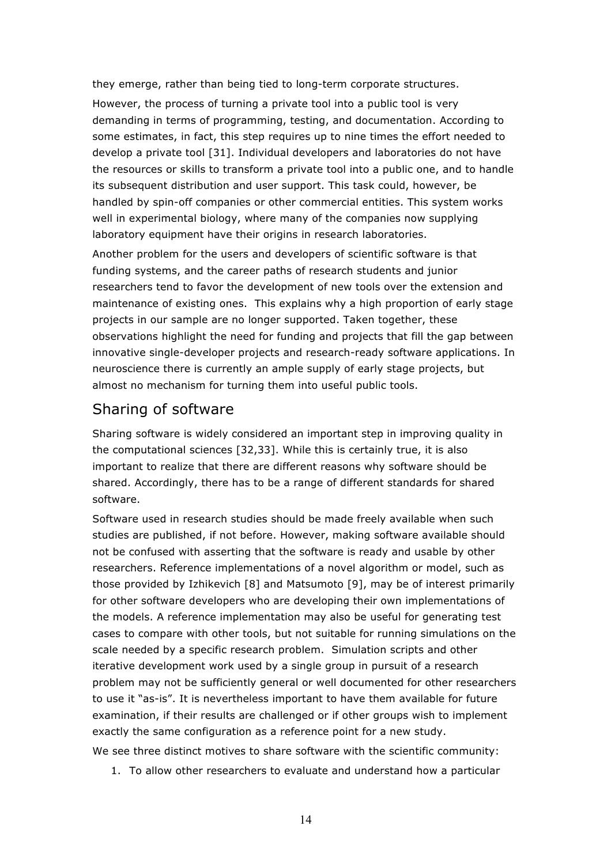they emerge, rather than being tied to long-term corporate structures.

However, the process of turning a private tool into a public tool is very demanding in terms of programming, testing, and documentation. According to some estimates, in fact, this step requires up to nine times the effort needed to develop a private tool [31]. Individual developers and laboratories do not have the resources or skills to transform a private tool into a public one, and to handle its subsequent distribution and user support. This task could, however, be handled by spin-off companies or other commercial entities. This system works well in experimental biology, where many of the companies now supplying laboratory equipment have their origins in research laboratories.

Another problem for the users and developers of scientific software is that funding systems, and the career paths of research students and junior researchers tend to favor the development of new tools over the extension and maintenance of existing ones. This explains why a high proportion of early stage projects in our sample are no longer supported. Taken together, these observations highlight the need for funding and projects that fill the gap between innovative single-developer projects and research-ready software applications. In neuroscience there is currently an ample supply of early stage projects, but almost no mechanism for turning them into useful public tools.

# Sharing of software

Sharing software is widely considered an important step in improving quality in the computational sciences [32,33]. While this is certainly true, it is also important to realize that there are different reasons why software should be shared. Accordingly, there has to be a range of different standards for shared software.

Software used in research studies should be made freely available when such studies are published, if not before. However, making software available should not be confused with asserting that the software is ready and usable by other researchers. Reference implementations of a novel algorithm or model, such as those provided by Izhikevich [8] and Matsumoto [9], may be of interest primarily for other software developers who are developing their own implementations of the models. A reference implementation may also be useful for generating test cases to compare with other tools, but not suitable for running simulations on the scale needed by a specific research problem. Simulation scripts and other iterative development work used by a single group in pursuit of a research problem may not be sufficiently general or well documented for other researchers to use it "as-is". It is nevertheless important to have them available for future examination, if their results are challenged or if other groups wish to implement exactly the same configuration as a reference point for a new study.

We see three distinct motives to share software with the scientific community:

1. To allow other researchers to evaluate and understand how a particular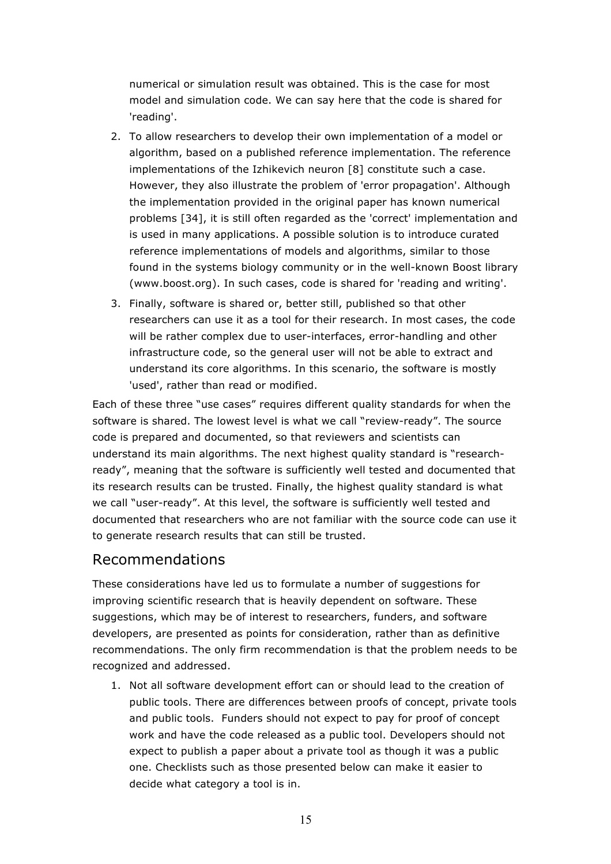numerical or simulation result was obtained. This is the case for most model and simulation code. We can say here that the code is shared for 'reading'.

- 2. To allow researchers to develop their own implementation of a model or algorithm, based on a published reference implementation. The reference implementations of the Izhikevich neuron [8] constitute such a case. However, they also illustrate the problem of 'error propagation'. Although the implementation provided in the original paper has known numerical problems [34], it is still often regarded as the 'correct' implementation and is used in many applications. A possible solution is to introduce curated reference implementations of models and algorithms, similar to those found in the systems biology community or in the well-known Boost library (www.boost.org). In such cases, code is shared for 'reading and writing'.
- 3. Finally, software is shared or, better still, published so that other researchers can use it as a tool for their research. In most cases, the code will be rather complex due to user-interfaces, error-handling and other infrastructure code, so the general user will not be able to extract and understand its core algorithms. In this scenario, the software is mostly 'used', rather than read or modified.

Each of these three "use cases" requires different quality standards for when the software is shared. The lowest level is what we call "review-ready". The source code is prepared and documented, so that reviewers and scientists can understand its main algorithms. The next highest quality standard is "researchready", meaning that the software is sufficiently well tested and documented that its research results can be trusted. Finally, the highest quality standard is what we call "user-ready". At this level, the software is sufficiently well tested and documented that researchers who are not familiar with the source code can use it to generate research results that can still be trusted.

## Recommendations

These considerations have led us to formulate a number of suggestions for improving scientific research that is heavily dependent on software. These suggestions, which may be of interest to researchers, funders, and software developers, are presented as points for consideration, rather than as definitive recommendations. The only firm recommendation is that the problem needs to be recognized and addressed.

1. Not all software development effort can or should lead to the creation of public tools. There are differences between proofs of concept, private tools and public tools. Funders should not expect to pay for proof of concept work and have the code released as a public tool. Developers should not expect to publish a paper about a private tool as though it was a public one. Checklists such as those presented below can make it easier to decide what category a tool is in.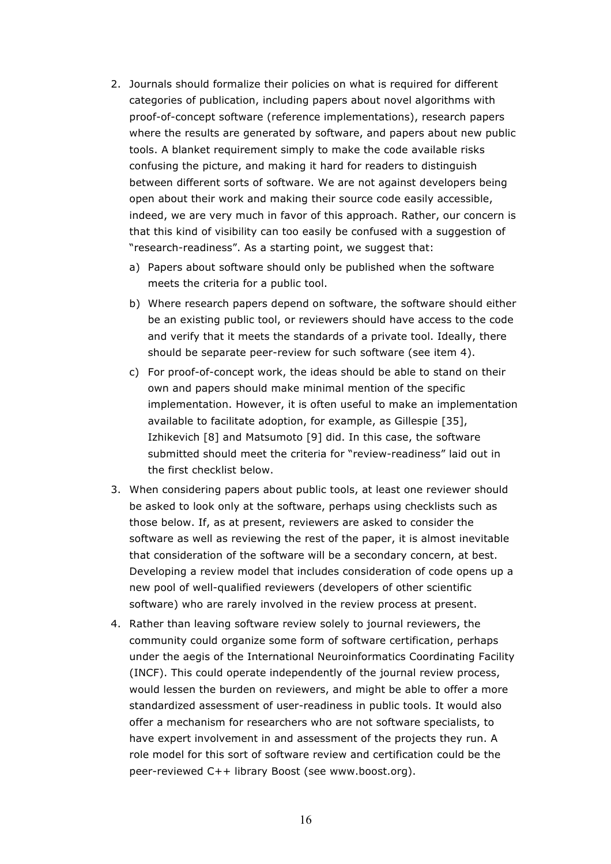- 2. Journals should formalize their policies on what is required for different categories of publication, including papers about novel algorithms with proof-of-concept software (reference implementations), research papers where the results are generated by software, and papers about new public tools. A blanket requirement simply to make the code available risks confusing the picture, and making it hard for readers to distinguish between different sorts of software. We are not against developers being open about their work and making their source code easily accessible, indeed, we are very much in favor of this approach. Rather, our concern is that this kind of visibility can too easily be confused with a suggestion of "research-readiness". As a starting point, we suggest that:
	- a) Papers about software should only be published when the software meets the criteria for a public tool.
	- b) Where research papers depend on software, the software should either be an existing public tool, or reviewers should have access to the code and verify that it meets the standards of a private tool. Ideally, there should be separate peer-review for such software (see item 4).
	- c) For proof-of-concept work, the ideas should be able to stand on their own and papers should make minimal mention of the specific implementation. However, it is often useful to make an implementation available to facilitate adoption, for example, as Gillespie [35], Izhikevich [8] and Matsumoto [9] did. In this case, the software submitted should meet the criteria for "review-readiness" laid out in the first checklist below.
- 3. When considering papers about public tools, at least one reviewer should be asked to look only at the software, perhaps using checklists such as those below. If, as at present, reviewers are asked to consider the software as well as reviewing the rest of the paper, it is almost inevitable that consideration of the software will be a secondary concern, at best. Developing a review model that includes consideration of code opens up a new pool of well-qualified reviewers (developers of other scientific software) who are rarely involved in the review process at present.
- 4. Rather than leaving software review solely to journal reviewers, the community could organize some form of software certification, perhaps under the aegis of the International Neuroinformatics Coordinating Facility (INCF). This could operate independently of the journal review process, would lessen the burden on reviewers, and might be able to offer a more standardized assessment of user-readiness in public tools. It would also offer a mechanism for researchers who are not software specialists, to have expert involvement in and assessment of the projects they run. A role model for this sort of software review and certification could be the peer-reviewed C++ library Boost (see www.boost.org).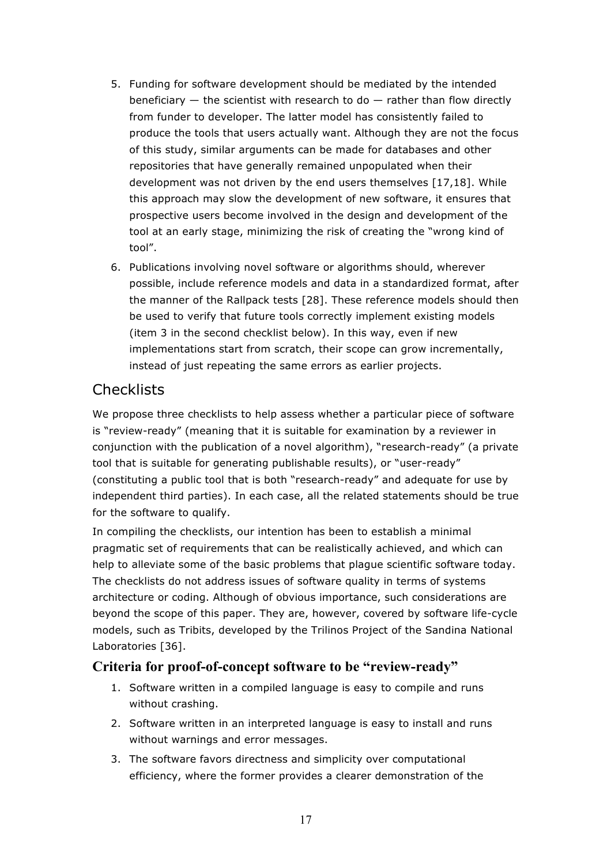- 5. Funding for software development should be mediated by the intended beneficiary  $-$  the scientist with research to do  $-$  rather than flow directly from funder to developer. The latter model has consistently failed to produce the tools that users actually want. Although they are not the focus of this study, similar arguments can be made for databases and other repositories that have generally remained unpopulated when their development was not driven by the end users themselves [17,18]. While this approach may slow the development of new software, it ensures that prospective users become involved in the design and development of the tool at an early stage, minimizing the risk of creating the "wrong kind of tool".
- 6. Publications involving novel software or algorithms should, wherever possible, include reference models and data in a standardized format, after the manner of the Rallpack tests [28]. These reference models should then be used to verify that future tools correctly implement existing models (item 3 in the second checklist below). In this way, even if new implementations start from scratch, their scope can grow incrementally, instead of just repeating the same errors as earlier projects.

## **Checklists**

We propose three checklists to help assess whether a particular piece of software is "review-ready" (meaning that it is suitable for examination by a reviewer in conjunction with the publication of a novel algorithm), "research-ready" (a private tool that is suitable for generating publishable results), or "user-ready" (constituting a public tool that is both "research-ready" and adequate for use by independent third parties). In each case, all the related statements should be true for the software to qualify.

In compiling the checklists, our intention has been to establish a minimal pragmatic set of requirements that can be realistically achieved, and which can help to alleviate some of the basic problems that plague scientific software today. The checklists do not address issues of software quality in terms of systems architecture or coding. Although of obvious importance, such considerations are beyond the scope of this paper. They are, however, covered by software life-cycle models, such as Tribits, developed by the Trilinos Project of the Sandina National Laboratories [36].

#### **Criteria for proof-of-concept software to be "review-ready"**

- 1. Software written in a compiled language is easy to compile and runs without crashing.
- 2. Software written in an interpreted language is easy to install and runs without warnings and error messages.
- 3. The software favors directness and simplicity over computational efficiency, where the former provides a clearer demonstration of the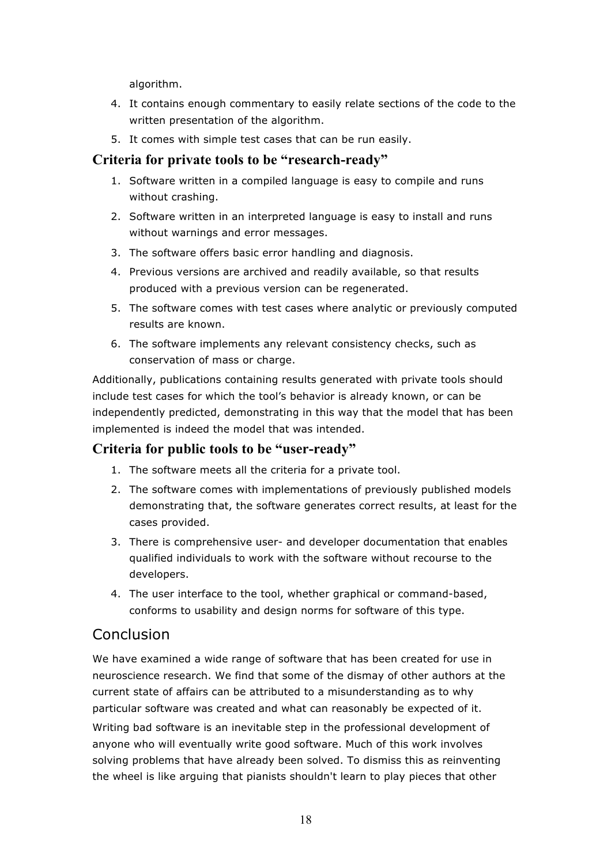algorithm.

- 4. It contains enough commentary to easily relate sections of the code to the written presentation of the algorithm.
- 5. It comes with simple test cases that can be run easily.

#### **Criteria for private tools to be "research-ready"**

- 1. Software written in a compiled language is easy to compile and runs without crashing.
- 2. Software written in an interpreted language is easy to install and runs without warnings and error messages.
- 3. The software offers basic error handling and diagnosis.
- 4. Previous versions are archived and readily available, so that results produced with a previous version can be regenerated.
- 5. The software comes with test cases where analytic or previously computed results are known.
- 6. The software implements any relevant consistency checks, such as conservation of mass or charge.

Additionally, publications containing results generated with private tools should include test cases for which the tool's behavior is already known, or can be independently predicted, demonstrating in this way that the model that has been implemented is indeed the model that was intended.

#### **Criteria for public tools to be "user-ready"**

- 1. The software meets all the criteria for a private tool.
- 2. The software comes with implementations of previously published models demonstrating that, the software generates correct results, at least for the cases provided.
- 3. There is comprehensive user- and developer documentation that enables qualified individuals to work with the software without recourse to the developers.
- 4. The user interface to the tool, whether graphical or command-based, conforms to usability and design norms for software of this type.

## Conclusion

We have examined a wide range of software that has been created for use in neuroscience research. We find that some of the dismay of other authors at the current state of affairs can be attributed to a misunderstanding as to why particular software was created and what can reasonably be expected of it.

Writing bad software is an inevitable step in the professional development of anyone who will eventually write good software. Much of this work involves solving problems that have already been solved. To dismiss this as reinventing the wheel is like arguing that pianists shouldn't learn to play pieces that other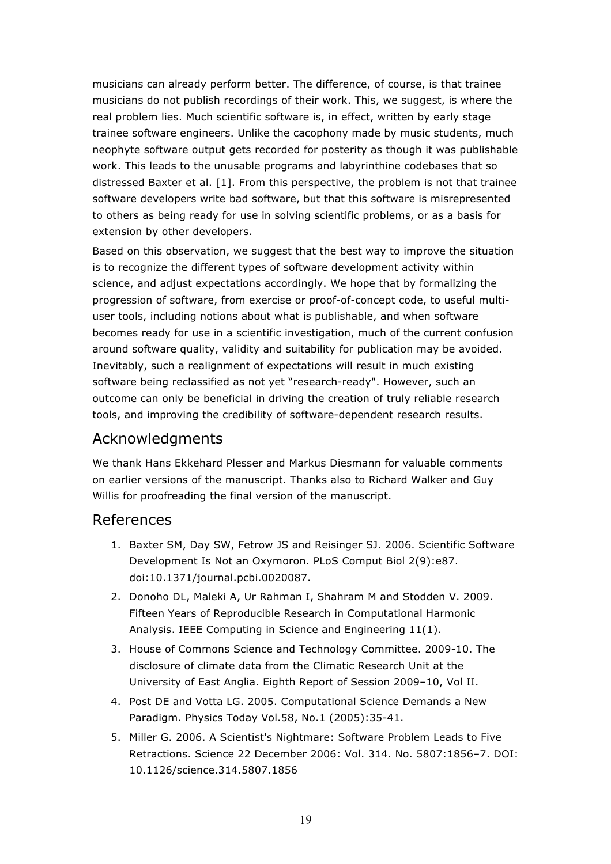musicians can already perform better. The difference, of course, is that trainee musicians do not publish recordings of their work. This, we suggest, is where the real problem lies. Much scientific software is, in effect, written by early stage trainee software engineers. Unlike the cacophony made by music students, much neophyte software output gets recorded for posterity as though it was publishable work. This leads to the unusable programs and labyrinthine codebases that so distressed Baxter et al. [1]. From this perspective, the problem is not that trainee software developers write bad software, but that this software is misrepresented to others as being ready for use in solving scientific problems, or as a basis for extension by other developers.

Based on this observation, we suggest that the best way to improve the situation is to recognize the different types of software development activity within science, and adjust expectations accordingly. We hope that by formalizing the progression of software, from exercise or proof-of-concept code, to useful multiuser tools, including notions about what is publishable, and when software becomes ready for use in a scientific investigation, much of the current confusion around software quality, validity and suitability for publication may be avoided. Inevitably, such a realignment of expectations will result in much existing software being reclassified as not yet "research-ready". However, such an outcome can only be beneficial in driving the creation of truly reliable research tools, and improving the credibility of software-dependent research results.

# Acknowledgments

We thank Hans Ekkehard Plesser and Markus Diesmann for valuable comments on earlier versions of the manuscript. Thanks also to Richard Walker and Guy Willis for proofreading the final version of the manuscript.

## References

- 1. Baxter SM, Day SW, Fetrow JS and Reisinger SJ. 2006. Scientific Software Development Is Not an Oxymoron. PLoS Comput Biol 2(9):e87. doi:10.1371/journal.pcbi.0020087.
- 2. Donoho DL, Maleki A, Ur Rahman I, Shahram M and Stodden V. 2009. Fifteen Years of Reproducible Research in Computational Harmonic Analysis. IEEE Computing in Science and Engineering 11(1).
- 3. House of Commons Science and Technology Committee. 2009-10. The disclosure of climate data from the Climatic Research Unit at the University of East Anglia. Eighth Report of Session 2009–10, Vol II.
- 4. Post DE and Votta LG. 2005. Computational Science Demands a New Paradigm. Physics Today Vol.58, No.1 (2005):35-41.
- 5. Miller G. 2006. A Scientist's Nightmare: Software Problem Leads to Five Retractions. Science 22 December 2006: Vol. 314. No. 5807:1856–7. DOI: 10.1126/science.314.5807.1856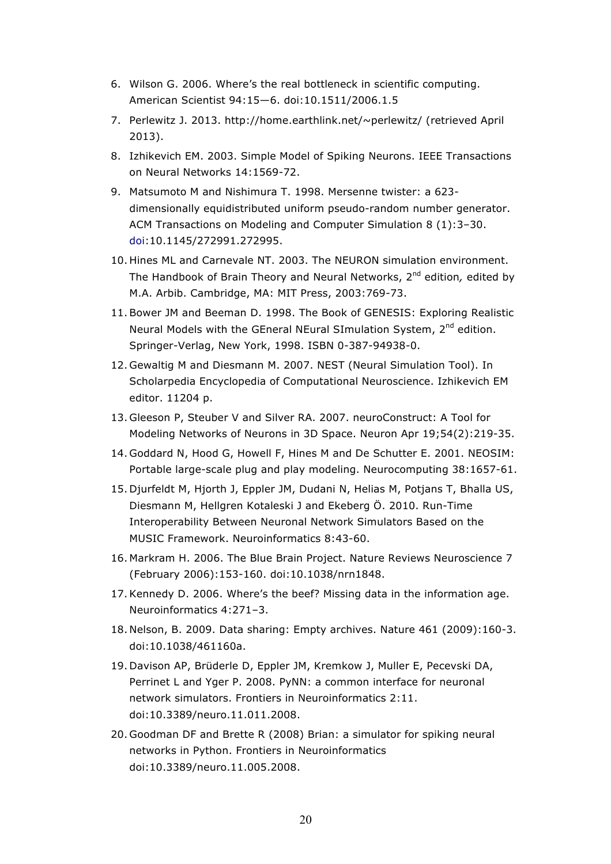- 6. Wilson G. 2006. Where's the real bottleneck in scientific computing. American Scientist 94:15—6. doi:10.1511/2006.1.5
- 7. Perlewitz J. 2013. http://home.earthlink.net/~perlewitz/ (retrieved April 2013).
- 8. Izhikevich EM. 2003. Simple Model of Spiking Neurons. IEEE Transactions on Neural Networks 14:1569-72.
- 9. Matsumoto M and Nishimura T. 1998. Mersenne twister: a 623 dimensionally equidistributed uniform pseudo-random number generator. ACM Transactions on Modeling and Computer Simulation 8 (1):3–30. doi:10.1145/272991.272995.
- 10. Hines ML and Carnevale NT. 2003. The NEURON simulation environment. The Handbook of Brain Theory and Neural Networks, 2nd edition*,* edited by M.A. Arbib. Cambridge, MA: MIT Press, 2003:769-73.
- 11. Bower JM and Beeman D. 1998. The Book of GENESIS: Exploring Realistic Neural Models with the GEneral NEural SImulation System, 2<sup>nd</sup> edition. Springer-Verlag, New York, 1998. ISBN 0-387-94938-0.
- 12. Gewaltig M and Diesmann M. 2007. NEST (Neural Simulation Tool). In Scholarpedia Encyclopedia of Computational Neuroscience. Izhikevich EM editor. 11204 p.
- 13. Gleeson P, Steuber V and Silver RA. 2007. neuroConstruct: A Tool for Modeling Networks of Neurons in 3D Space. Neuron Apr 19;54(2):219-35.
- 14. Goddard N, Hood G, Howell F, Hines M and De Schutter E. 2001. NEOSIM: Portable large-scale plug and play modeling. Neurocomputing 38:1657-61.
- 15. Djurfeldt M, Hjorth J, Eppler JM, Dudani N, Helias M, Potjans T, Bhalla US, Diesmann M, Hellgren Kotaleski J and Ekeberg Ö. 2010. Run-Time Interoperability Between Neuronal Network Simulators Based on the MUSIC Framework. Neuroinformatics 8:43-60.
- 16. Markram H. 2006. The Blue Brain Project. Nature Reviews Neuroscience 7 (February 2006):153-160. doi:10.1038/nrn1848.
- 17.Kennedy D. 2006. Where's the beef? Missing data in the information age. Neuroinformatics 4:271–3.
- 18. Nelson, B. 2009. Data sharing: Empty archives. Nature 461 (2009):160-3. doi:10.1038/461160a.
- 19. Davison AP, Brüderle D, Eppler JM, Kremkow J, Muller E, Pecevski DA, Perrinet L and Yger P. 2008. PyNN: a common interface for neuronal network simulators. Frontiers in Neuroinformatics 2:11. doi:10.3389/neuro.11.011.2008.
- 20. Goodman DF and Brette R (2008) Brian: a simulator for spiking neural networks in Python. Frontiers in Neuroinformatics doi:10.3389/neuro.11.005.2008.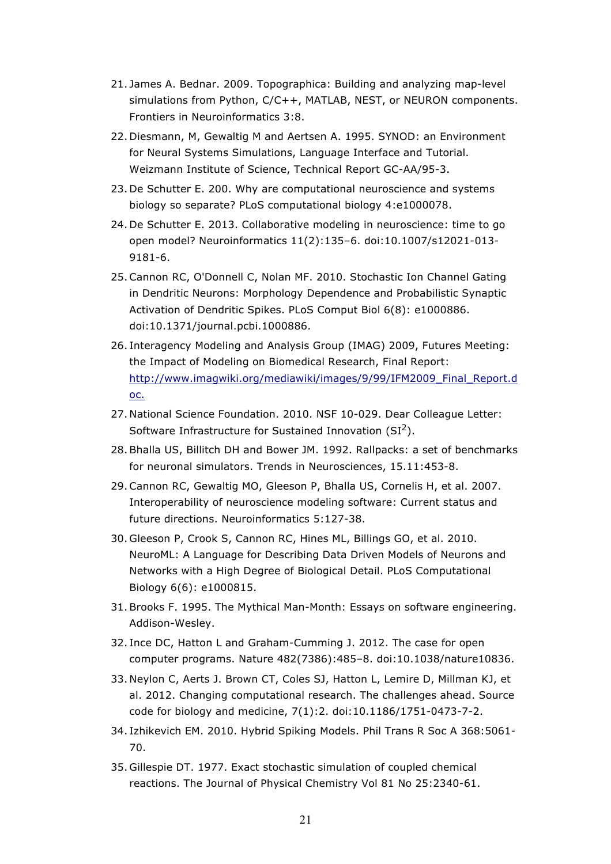- 21. James A. Bednar. 2009. Topographica: Building and analyzing map-level simulations from Python, C/C++, MATLAB, NEST, or NEURON components. Frontiers in Neuroinformatics 3:8.
- 22. Diesmann, M, Gewaltig M and Aertsen A. 1995. SYNOD: an Environment for Neural Systems Simulations, Language Interface and Tutorial. Weizmann Institute of Science, Technical Report GC-AA/95-3.
- 23. De Schutter E. 200. Why are computational neuroscience and systems biology so separate? PLoS computational biology 4:e1000078.
- 24. De Schutter E. 2013. Collaborative modeling in neuroscience: time to go open model? Neuroinformatics 11(2):135–6. doi:10.1007/s12021-013- 9181-6.
- 25.Cannon RC, O'Donnell C, Nolan MF. 2010. Stochastic Ion Channel Gating in Dendritic Neurons: Morphology Dependence and Probabilistic Synaptic Activation of Dendritic Spikes. PLoS Comput Biol 6(8): e1000886. doi:10.1371/journal.pcbi.1000886.
- 26. Interagency Modeling and Analysis Group (IMAG) 2009, Futures Meeting: the Impact of Modeling on Biomedical Research, Final Report: http://www.imagwiki.org/mediawiki/images/9/99/IFM2009\_Final\_Report.d oc.
- 27. National Science Foundation. 2010. NSF 10-029. Dear Colleague Letter: Software Infrastructure for Sustained Innovation  $(SI<sup>2</sup>)$ .
- 28. Bhalla US, Billitch DH and Bower JM. 1992. Rallpacks: a set of benchmarks for neuronal simulators. Trends in Neurosciences, 15.11:453-8.
- 29.Cannon RC, Gewaltig MO, Gleeson P, Bhalla US, Cornelis H, et al. 2007. Interoperability of neuroscience modeling software: Current status and future directions. Neuroinformatics 5:127-38.
- 30. Gleeson P, Crook S, Cannon RC, Hines ML, Billings GO, et al. 2010. NeuroML: A Language for Describing Data Driven Models of Neurons and Networks with a High Degree of Biological Detail. PLoS Computational Biology 6(6): e1000815.
- 31. Brooks F. 1995. The Mythical Man-Month: Essays on software engineering. Addison-Wesley.
- 32. Ince DC, Hatton L and Graham-Cumming J. 2012. The case for open computer programs. Nature 482(7386):485–8. doi:10.1038/nature10836.
- 33. Neylon C, Aerts J. Brown CT, Coles SJ, Hatton L, Lemire D, Millman KJ, et al. 2012. Changing computational research. The challenges ahead. Source code for biology and medicine, 7(1):2. doi:10.1186/1751-0473-7-2.
- 34. Izhikevich EM. 2010. Hybrid Spiking Models. Phil Trans R Soc A 368:5061- 70.
- 35. Gillespie DT. 1977. Exact stochastic simulation of coupled chemical reactions. The Journal of Physical Chemistry Vol 81 No 25:2340-61.